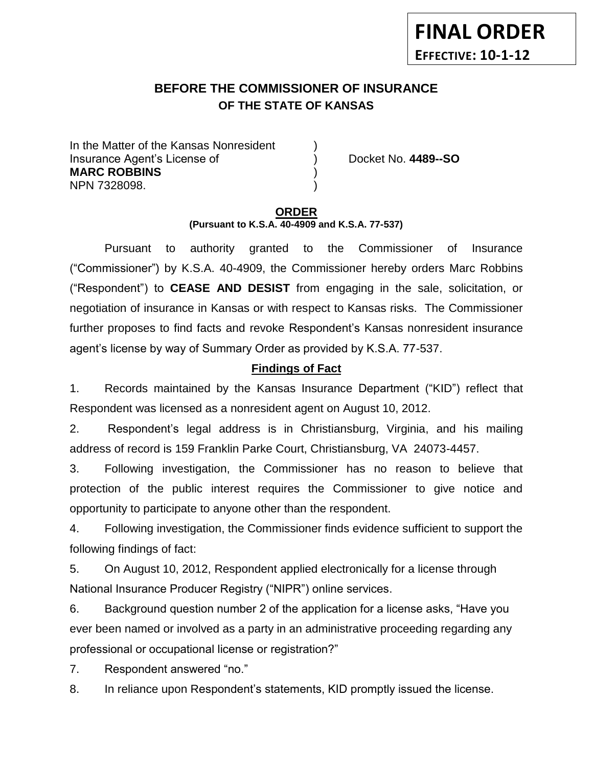## **BEFORE THE COMMISSIONER OF INSURANCE OF THE STATE OF KANSAS**

In the Matter of the Kansas Nonresident Insurance Agent's License of ) Docket No. **4489--SO MARC ROBBINS** ) NPN 7328098. )

# **ORDER**

**(Pursuant to K.S.A. 40-4909 and K.S.A. 77-537)**

Pursuant to authority granted to the Commissioner of Insurance ("Commissioner") by K.S.A. 40-4909, the Commissioner hereby orders Marc Robbins ("Respondent") to **CEASE AND DESIST** from engaging in the sale, solicitation, or negotiation of insurance in Kansas or with respect to Kansas risks. The Commissioner further proposes to find facts and revoke Respondent's Kansas nonresident insurance agent's license by way of Summary Order as provided by K.S.A. 77-537.

## **Findings of Fact**

1. Records maintained by the Kansas Insurance Department ("KID") reflect that Respondent was licensed as a nonresident agent on August 10, 2012.

2. Respondent's legal address is in Christiansburg, Virginia, and his mailing address of record is 159 Franklin Parke Court, Christiansburg, VA 24073-4457.

3. Following investigation, the Commissioner has no reason to believe that protection of the public interest requires the Commissioner to give notice and opportunity to participate to anyone other than the respondent.

4. Following investigation, the Commissioner finds evidence sufficient to support the following findings of fact:

5. On August 10, 2012, Respondent applied electronically for a license through National Insurance Producer Registry ("NIPR") online services.

6. Background question number 2 of the application for a license asks, "Have you ever been named or involved as a party in an administrative proceeding regarding any professional or occupational license or registration?"

7. Respondent answered "no."

8. In reliance upon Respondent's statements, KID promptly issued the license.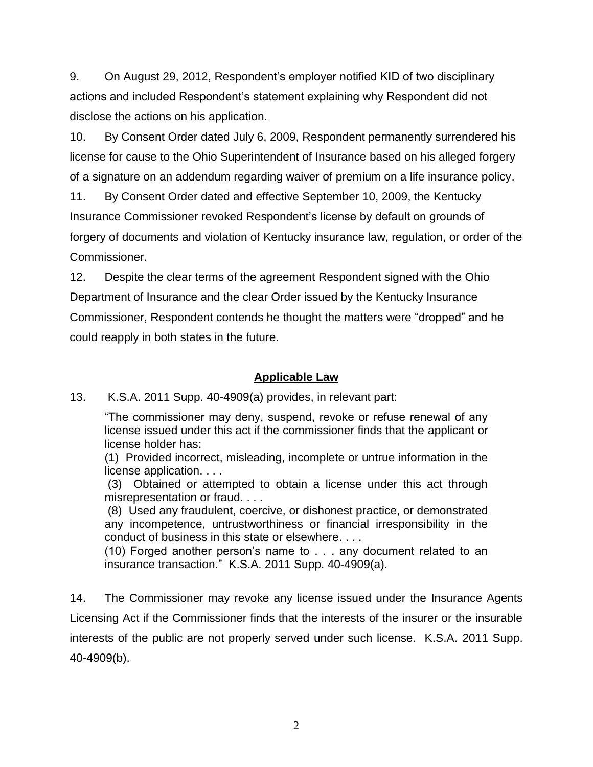9. On August 29, 2012, Respondent's employer notified KID of two disciplinary actions and included Respondent's statement explaining why Respondent did not disclose the actions on his application.

10. By Consent Order dated July 6, 2009, Respondent permanently surrendered his license for cause to the Ohio Superintendent of Insurance based on his alleged forgery of a signature on an addendum regarding waiver of premium on a life insurance policy.

11. By Consent Order dated and effective September 10, 2009, the Kentucky Insurance Commissioner revoked Respondent's license by default on grounds of forgery of documents and violation of Kentucky insurance law, regulation, or order of the Commissioner.

12. Despite the clear terms of the agreement Respondent signed with the Ohio Department of Insurance and the clear Order issued by the Kentucky Insurance Commissioner, Respondent contends he thought the matters were "dropped" and he could reapply in both states in the future.

### **Applicable Law**

13. K.S.A. 2011 Supp. 40-4909(a) provides, in relevant part:

"The commissioner may deny, suspend, revoke or refuse renewal of any license issued under this act if the commissioner finds that the applicant or license holder has:

(1) Provided incorrect, misleading, incomplete or untrue information in the license application. . . .

(3) Obtained or attempted to obtain a license under this act through misrepresentation or fraud. . . .

(8) Used any fraudulent, coercive, or dishonest practice, or demonstrated any incompetence, untrustworthiness or financial irresponsibility in the conduct of business in this state or elsewhere. . . .

(10) Forged another person's name to . . . any document related to an insurance transaction." K.S.A. 2011 Supp. 40-4909(a).

14. The Commissioner may revoke any license issued under the Insurance Agents Licensing Act if the Commissioner finds that the interests of the insurer or the insurable interests of the public are not properly served under such license. K.S.A. 2011 Supp. 40-4909(b).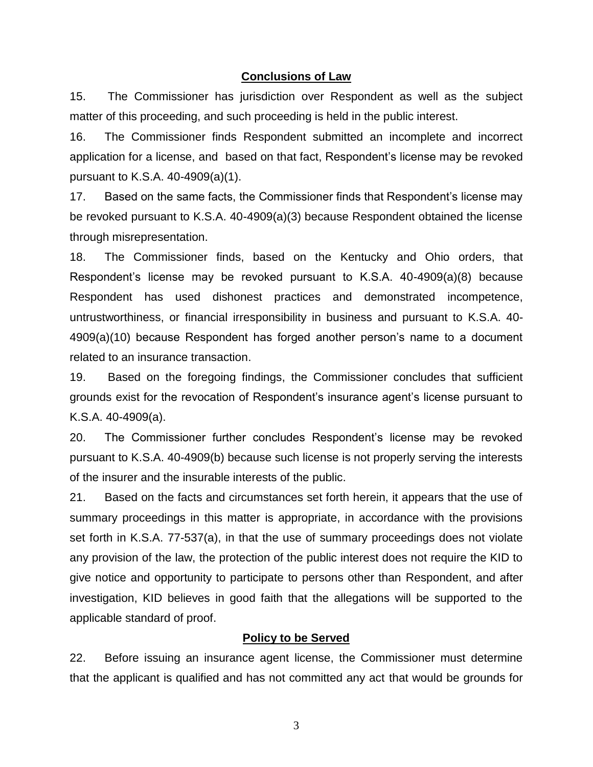#### **Conclusions of Law**

15. The Commissioner has jurisdiction over Respondent as well as the subject matter of this proceeding, and such proceeding is held in the public interest.

16. The Commissioner finds Respondent submitted an incomplete and incorrect application for a license, and based on that fact, Respondent's license may be revoked pursuant to K.S.A. 40-4909(a)(1).

17. Based on the same facts, the Commissioner finds that Respondent's license may be revoked pursuant to K.S.A. 40-4909(a)(3) because Respondent obtained the license through misrepresentation.

18. The Commissioner finds, based on the Kentucky and Ohio orders, that Respondent's license may be revoked pursuant to K.S.A. 40-4909(a)(8) because Respondent has used dishonest practices and demonstrated incompetence, untrustworthiness, or financial irresponsibility in business and pursuant to K.S.A. 40- 4909(a)(10) because Respondent has forged another person's name to a document related to an insurance transaction.

19. Based on the foregoing findings, the Commissioner concludes that sufficient grounds exist for the revocation of Respondent's insurance agent's license pursuant to K.S.A. 40-4909(a).

20. The Commissioner further concludes Respondent's license may be revoked pursuant to K.S.A. 40-4909(b) because such license is not properly serving the interests of the insurer and the insurable interests of the public.

21. Based on the facts and circumstances set forth herein, it appears that the use of summary proceedings in this matter is appropriate, in accordance with the provisions set forth in K.S.A. 77-537(a), in that the use of summary proceedings does not violate any provision of the law, the protection of the public interest does not require the KID to give notice and opportunity to participate to persons other than Respondent, and after investigation, KID believes in good faith that the allegations will be supported to the applicable standard of proof.

#### **Policy to be Served**

22. Before issuing an insurance agent license, the Commissioner must determine that the applicant is qualified and has not committed any act that would be grounds for

3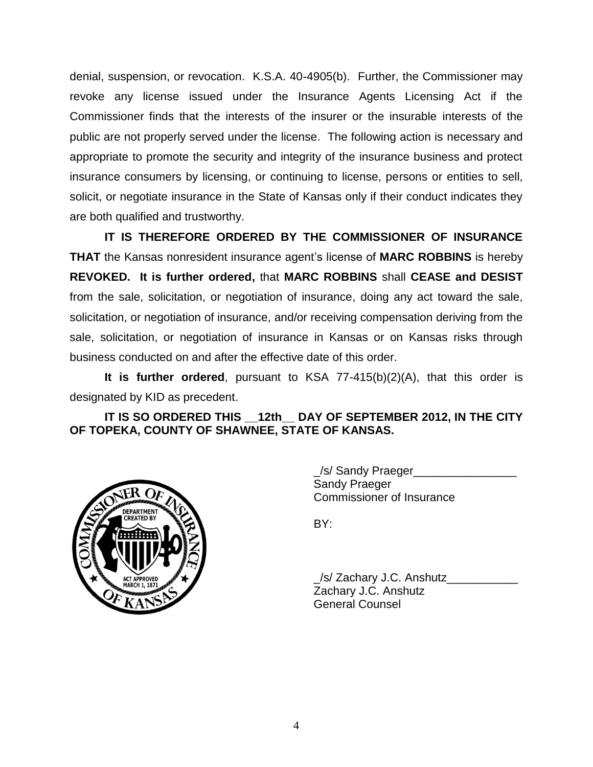denial, suspension, or revocation. K.S.A. 40-4905(b). Further, the Commissioner may revoke any license issued under the Insurance Agents Licensing Act if the Commissioner finds that the interests of the insurer or the insurable interests of the public are not properly served under the license. The following action is necessary and appropriate to promote the security and integrity of the insurance business and protect insurance consumers by licensing, or continuing to license, persons or entities to sell, solicit, or negotiate insurance in the State of Kansas only if their conduct indicates they are both qualified and trustworthy.

**IT IS THEREFORE ORDERED BY THE COMMISSIONER OF INSURANCE THAT** the Kansas nonresident insurance agent's license of **MARC ROBBINS** is hereby **REVOKED. It is further ordered,** that **MARC ROBBINS** shall **CEASE and DESIST** from the sale, solicitation, or negotiation of insurance, doing any act toward the sale, solicitation, or negotiation of insurance, and/or receiving compensation deriving from the sale, solicitation, or negotiation of insurance in Kansas or on Kansas risks through business conducted on and after the effective date of this order.

**It is further ordered**, pursuant to KSA 77-415(b)(2)(A), that this order is designated by KID as precedent.

**IT IS SO ORDERED THIS \_\_12th\_\_ DAY OF SEPTEMBER 2012, IN THE CITY OF TOPEKA, COUNTY OF SHAWNEE, STATE OF KANSAS.**



\_/s/ Sandy Praeger\_\_\_\_\_\_\_\_\_\_\_\_\_\_\_\_ Sandy Praeger Commissioner of Insurance

BY:

\_/s/ Zachary J.C. Anshutz\_\_\_\_\_\_\_\_\_\_\_ Zachary J.C. Anshutz General Counsel